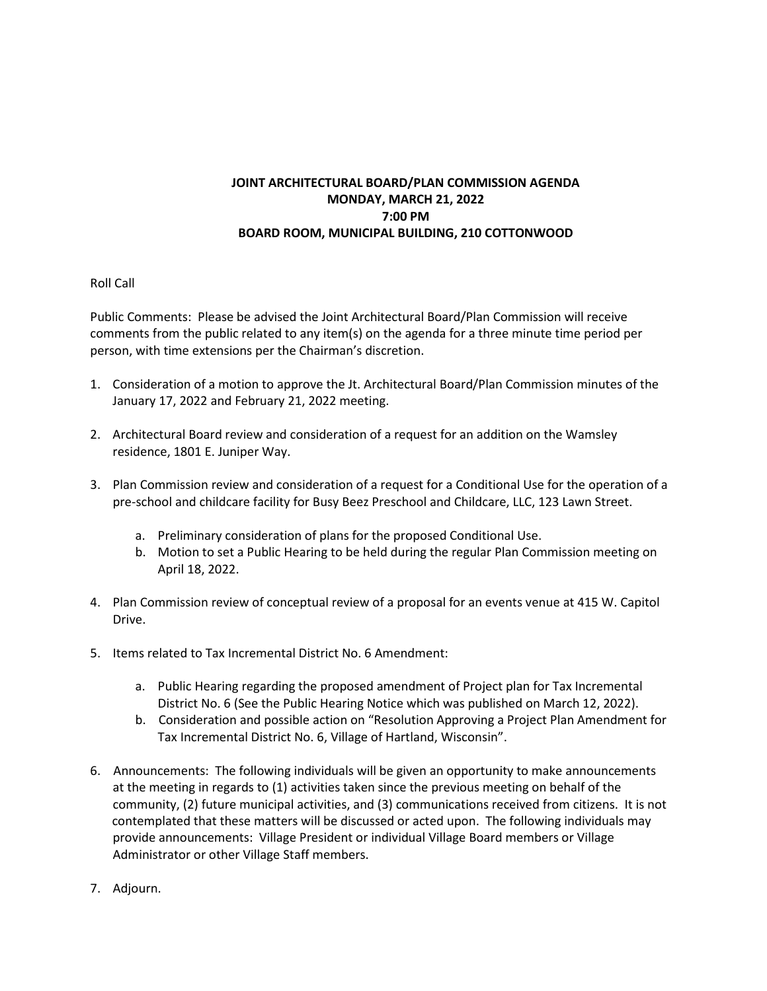## **JOINT ARCHITECTURAL BOARD/PLAN COMMISSION AGENDA MONDAY, MARCH 21, 2022 7:00 PM BOARD ROOM, MUNICIPAL BUILDING, 210 COTTONWOOD**

## Roll Call

Public Comments: Please be advised the Joint Architectural Board/Plan Commission will receive comments from the public related to any item(s) on the agenda for a three minute time period per person, with time extensions per the Chairman's discretion.

- 1. Consideration of a motion to approve the Jt. Architectural Board/Plan Commission minutes of the January 17, 2022 and February 21, 2022 meeting.
- 2. Architectural Board review and consideration of a request for an addition on the Wamsley residence, 1801 E. Juniper Way.
- 3. Plan Commission review and consideration of a request for a Conditional Use for the operation of a pre-school and childcare facility for Busy Beez Preschool and Childcare, LLC, 123 Lawn Street.
	- a. Preliminary consideration of plans for the proposed Conditional Use.
	- b. Motion to set a Public Hearing to be held during the regular Plan Commission meeting on April 18, 2022.
- 4. Plan Commission review of conceptual review of a proposal for an events venue at 415 W. Capitol Drive.
- 5. Items related to Tax Incremental District No. 6 Amendment:
	- a. Public Hearing regarding the proposed amendment of Project plan for Tax Incremental District No. 6 (See the Public Hearing Notice which was published on March 12, 2022).
	- b. Consideration and possible action on "Resolution Approving a Project Plan Amendment for Tax Incremental District No. 6, Village of Hartland, Wisconsin".
- 6. Announcements: The following individuals will be given an opportunity to make announcements at the meeting in regards to (1) activities taken since the previous meeting on behalf of the community, (2) future municipal activities, and (3) communications received from citizens. It is not contemplated that these matters will be discussed or acted upon. The following individuals may provide announcements: Village President or individual Village Board members or Village Administrator or other Village Staff members.
- 7. Adjourn.